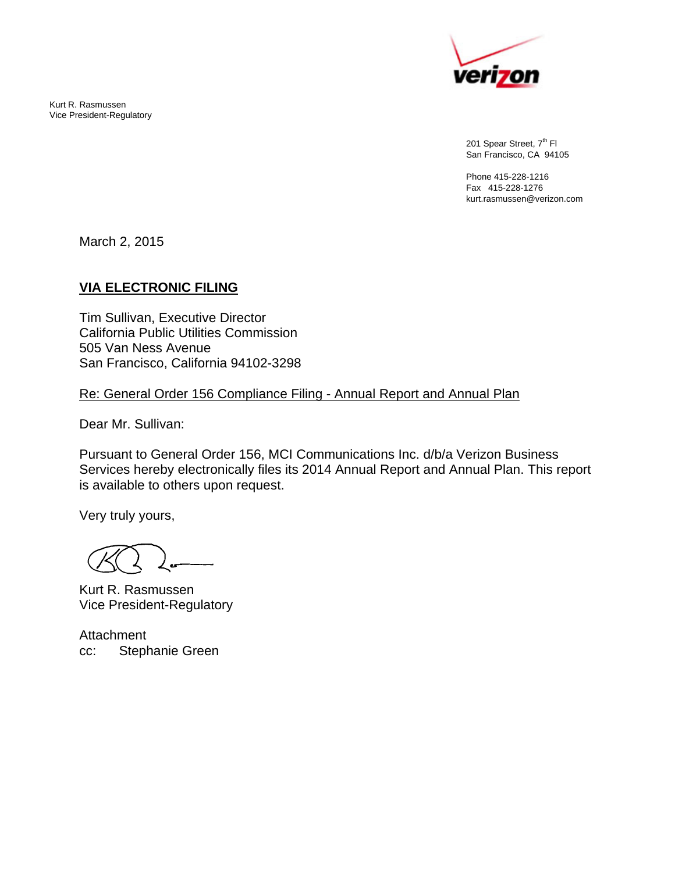Kurt R. Rasmussen Vice President-Regulatory



201 Spear Street, 7<sup>th</sup> Fl San Francisco, CA 94105

Phone 415-228-1216 Fax 415-228-1276 kurt.rasmussen@verizon.com

March 2, 2015

## **VIA ELECTRONIC FILING**

Tim Sullivan, Executive Director California Public Utilities Commission 505 Van Ness Avenue San Francisco, California 94102-3298

Re: General Order 156 Compliance Filing - Annual Report and Annual Plan

Dear Mr. Sullivan:

Pursuant to General Order 156, MCI Communications Inc. d/b/a Verizon Business Services hereby electronically files its 2014 Annual Report and Annual Plan. This report is available to others upon request.

Very truly yours,

Kurt R. Rasmussen Vice President-Regulatory

Attachment cc: Stephanie Green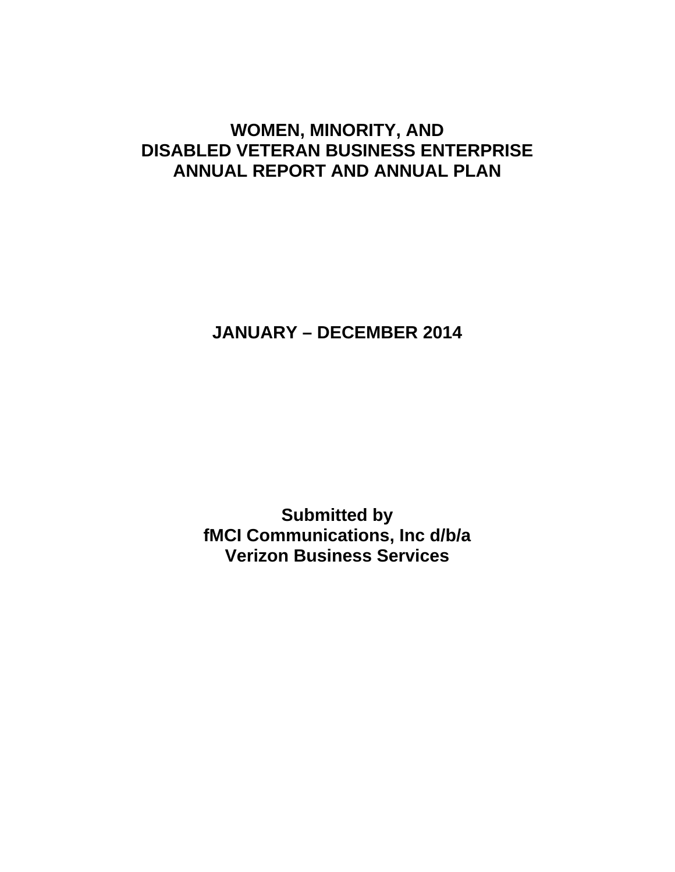## **WOMEN, MINORITY, AND DISABLED VETERAN BUSINESS ENTERPRISE ANNUAL REPORT AND ANNUAL PLAN**

**JANUARY – DECEMBER 2014** 

**Submitted by fMCI Communications, Inc d/b/a Verizon Business Services**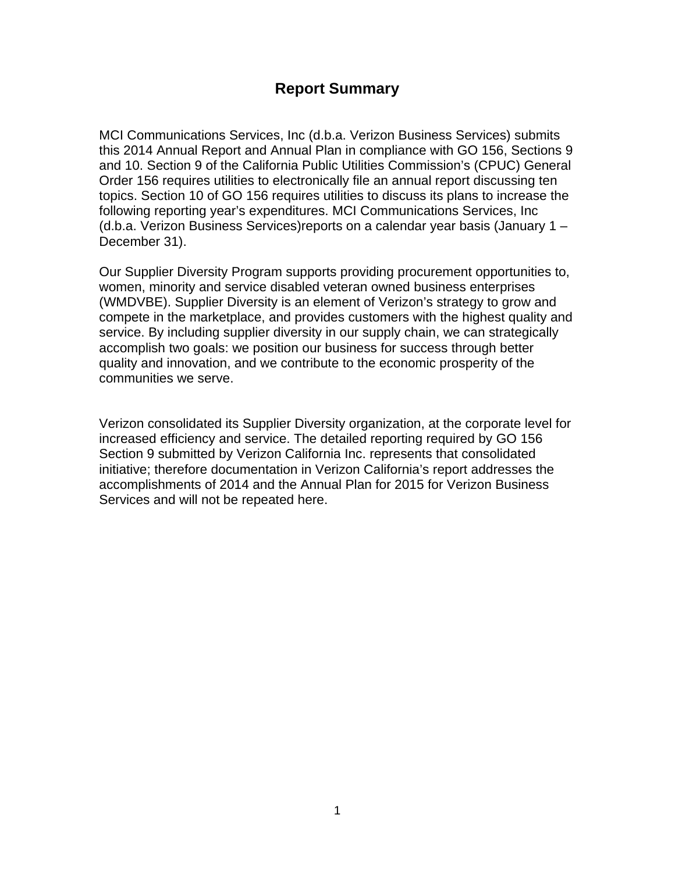## **Report Summary**

MCI Communications Services, Inc (d.b.a. Verizon Business Services) submits this 2014 Annual Report and Annual Plan in compliance with GO 156, Sections 9 and 10. Section 9 of the California Public Utilities Commission's (CPUC) General Order 156 requires utilities to electronically file an annual report discussing ten topics. Section 10 of GO 156 requires utilities to discuss its plans to increase the following reporting year's expenditures. MCI Communications Services, Inc (d.b.a. Verizon Business Services)reports on a calendar year basis (January 1 – December 31).

Our Supplier Diversity Program supports providing procurement opportunities to, women, minority and service disabled veteran owned business enterprises (WMDVBE). Supplier Diversity is an element of Verizon's strategy to grow and compete in the marketplace, and provides customers with the highest quality and service. By including supplier diversity in our supply chain, we can strategically accomplish two goals: we position our business for success through better quality and innovation, and we contribute to the economic prosperity of the communities we serve.

Verizon consolidated its Supplier Diversity organization, at the corporate level for increased efficiency and service. The detailed reporting required by GO 156 Section 9 submitted by Verizon California Inc. represents that consolidated initiative; therefore documentation in Verizon California's report addresses the accomplishments of 2014 and the Annual Plan for 2015 for Verizon Business Services and will not be repeated here.